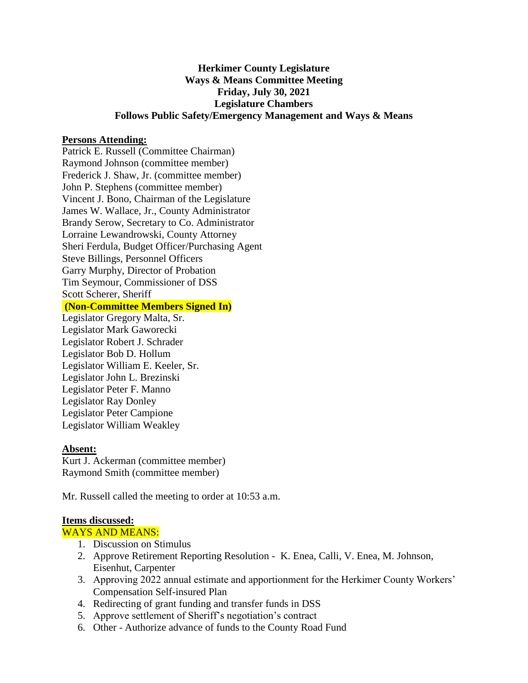# **Herkimer County Legislature Ways & Means Committee Meeting Friday, July 30, 2021 Legislature Chambers Follows Public Safety/Emergency Management and Ways & Means**

## **Persons Attending:**

Patrick E. Russell (Committee Chairman) Raymond Johnson (committee member) Frederick J. Shaw, Jr. (committee member) John P. Stephens (committee member) Vincent J. Bono, Chairman of the Legislature James W. Wallace, Jr., County Administrator Brandy Serow, Secretary to Co. Administrator Lorraine Lewandrowski, County Attorney Sheri Ferdula, Budget Officer/Purchasing Agent Steve Billings, Personnel Officers Garry Murphy, Director of Probation Tim Seymour, Commissioner of DSS Scott Scherer, Sheriff

### **(Non-Committee Members Signed In)**

Legislator Gregory Malta, Sr. Legislator Mark Gaworecki Legislator Robert J. Schrader Legislator Bob D. Hollum Legislator William E. Keeler, Sr. Legislator John L. Brezinski Legislator Peter F. Manno Legislator Ray Donley Legislator Peter Campione Legislator William Weakley

#### **Absent:**

Kurt J. Ackerman (committee member) Raymond Smith (committee member)

Mr. Russell called the meeting to order at 10:53 a.m.

#### **Items discussed:**

### WAYS AND MEANS:

- 1. Discussion on Stimulus
- 2. Approve Retirement Reporting Resolution K. Enea, Calli, V. Enea, M. Johnson, Eisenhut, Carpenter
- 3. Approving 2022 annual estimate and apportionment for the Herkimer County Workers' Compensation Self-insured Plan
- 4. Redirecting of grant funding and transfer funds in DSS
- 5. Approve settlement of Sheriff's negotiation's contract
- 6. Other Authorize advance of funds to the County Road Fund